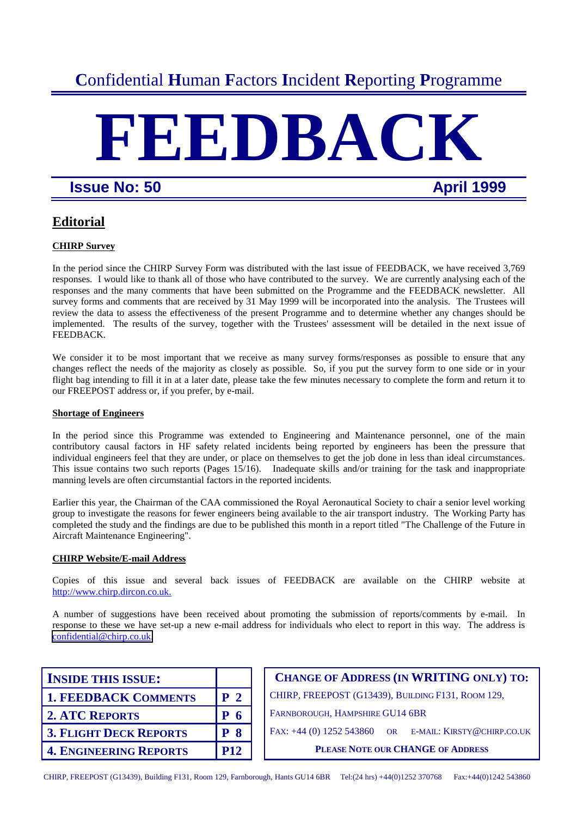## **C**onfidential **H**uman **F**actors **I**ncident **R**eporting **P**rogramme

# **FEEDBAC**

## **Issue No: 50 April 1999**

## **Editorial**

## **CHIRP Survey**

In the period since the CHIRP Survey Form was distributed with the last issue of FEEDBACK, we have received 3,769 responses. I would like to thank all of those who have contributed to the survey. We are currently analysing each of the responses and the many comments that have been submitted on the Programme and the FEEDBACK newsletter. All survey forms and comments that are received by 31 May 1999 will be incorporated into the analysis. The Trustees will review the data to assess the effectiveness of the present Programme and to determine whether any changes should be implemented. The results of the survey, together with the Trustees' assessment will be detailed in the next issue of FEEDBACK.

We consider it to be most important that we receive as many survey forms/responses as possible to ensure that any changes reflect the needs of the majority as closely as possible. So, if you put the survey form to one side or in your flight bag intending to fill it in at a later date, please take the few minutes necessary to complete the form and return it to our FREEPOST address or, if you prefer, by e-mail.

## **Shortage of Engineers**

In the period since this Programme was extended to Engineering and Maintenance personnel, one of the main contributory causal factors in HF safety related incidents being reported by engineers has been the pressure that individual engineers feel that they are under, or place on themselves to get the job done in less than ideal circumstances. This issue contains two such reports (Pages 15/16). Inadequate skills and/or training for the task and inappropriate manning levels are often circumstantial factors in the reported incidents.

Earlier this year, the Chairman of the CAA commissioned the Royal Aeronautical Society to chair a senior level working group to investigate the reasons for fewer engineers being available to the air transport industry. The Working Party has completed the study and the findings are due to be published this month in a report titled "The Challenge of the Future in Aircraft Maintenance Engineering".

## **CHIRP Website/E-mail Address**

Copies of this issue and several back issues of FEEDBACK are available on the CHIRP website at http://www.chirp.dircon.co.uk.

A number of suggestions have been received about promoting the submission of reports/comments by e-mail. In response to these we have set-up a new e-mail address for individuals who elect to report in this way. The address is [confidential@chirp.co.uk.](mailto:confidentail@chirp.co.uk)

| <b>INSIDE THIS ISSUE:</b>     |                | <b>CHANGE OF ADDRESS (IN WRITING ONLY) TO:</b>         |
|-------------------------------|----------------|--------------------------------------------------------|
| <b>1. FEEDBACK COMMENTS</b>   | P <sub>2</sub> | CHIRP, FREEPOST (G13439), BUILDING F131, ROOM 129,     |
| <b>2. ATC REPORTS</b>         | P <sub>6</sub> | FARNBOROUGH, HAMPSHIRE GU14 6BR                        |
| <b>3. FLIGHT DECK REPORTS</b> | <b>P</b> 8     | FAX: +44 (0) 1252 543860 OR E-MAIL: KIRSTY@CHIRP.CO.UK |
| <b>4. ENGINEERING REPORTS</b> | <b>P12</b>     | <b>PLEASE NOTE OUR CHANGE OF ADDRESS</b>               |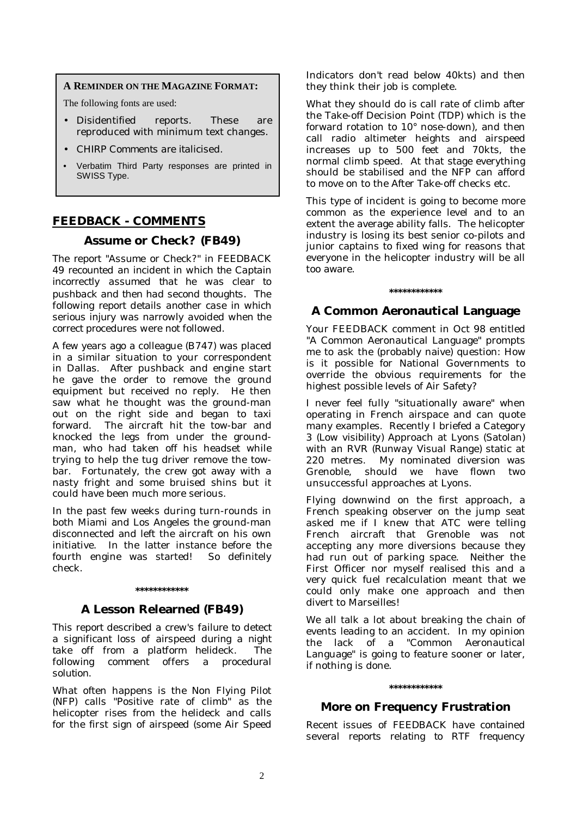### **A REMINDER ON THE MAGAZINE FORMAT:**

The following fonts are used:

- Disidentified reports. These are reproduced with minimum text changes.
- *CHIRP Comments are italicised.*
- Verbatim Third Party responses are printed in SWISS Type.

## **FEEDBACK - COMMENTS**

## **Assume or Check? (FB49)**

*The report "Assume or Check?" in FEEDBACK 49 recounted an incident in which the Captain incorrectly assumed that he was clear to pushback and then had second thoughts. The following report details another case in which serious injury was narrowly avoided when the correct procedures were not followed.* 

A few years ago a colleague (B747) was placed in a similar situation to your correspondent in Dallas. After pushback and engine start he gave the order to remove the ground equipment but received no reply. He then saw what he thought was the ground-man out on the right side and began to taxi forward. The aircraft hit the tow-bar and knocked the legs from under the groundman, who had taken off his headset while trying to help the tug driver remove the towbar. Fortunately, the crew got away with a nasty fright and some bruised shins but it could have been much more serious.

In the past few weeks during turn-rounds in both Miami and Los Angeles the ground-man disconnected and left the aircraft on his own initiative. In the latter instance before the fourth engine was started! So definitely check.

# **\*\*\*\*\*\*\*\*\*\*\*\***

## **A Lesson Relearned (FB49)**

*This report described a crew's failure to detect a significant loss of airspeed during a night take off from a platform helideck. The following comment offers a procedural solution.* 

What often happens is the Non Flying Pilot (NFP) calls "Positive rate of climb" as the helicopter rises from the helideck and calls for the first sign of airspeed (some Air Speed Indicators don't read below 40kts) and then they think their job is complete.

What they should do is call rate of climb after the Take-off Decision Point (TDP) which is the forward rotation to 10° nose-down), and then call radio altimeter heights and airspeed increases up to 500 feet and 70kts, the normal climb speed. At that stage everything should be stabilised and the NFP can afford to move on to the After Take-off checks etc.

This type of incident is going to become more common as the experience level and to an extent the average ability falls. The helicopter industry is losing its best senior co-pilots and junior captains to fixed wing for reasons that everyone in the helicopter industry will be all too aware.

#### **\*\*\*\*\*\*\*\*\*\*\*\***

## **A Common Aeronautical Language**

Your FEEDBACK comment in Oct 98 entitled "A Common Aeronautical Language" prompts me to ask the (probably naive) question: How is it possible for National Governments to override the obvious requirements for the highest possible levels of Air Safety?

I never feel fully "situationally aware" when operating in French airspace and can quote many examples. Recently I briefed a Category 3 *(Low visibility)* Approach at Lyons (Satolan) with an RVR *(Runway Visual Range)* static at 220 metres. My nominated diversion was Grenoble, should we have flown two unsuccessful approaches at Lyons.

Flying downwind on the first approach, a French speaking observer on the jump seat asked me if I knew that ATC were telling French aircraft that Grenoble was not accepting any more diversions because they had run out of parking space. Neither the First Officer nor myself realised this and a very quick fuel recalculation meant that we could only make one approach and then divert to Marseilles!

We all talk a lot about breaking the chain of events leading to an accident. In my opinion the lack of a "Common Aeronautical Language" is going to feature sooner or later, if nothing is done.

## **\*\*\*\*\*\*\*\*\*\*\*\***

## **More on Frequency Frustration**

*Recent issues of FEEDBACK have contained several reports relating to RTF frequency*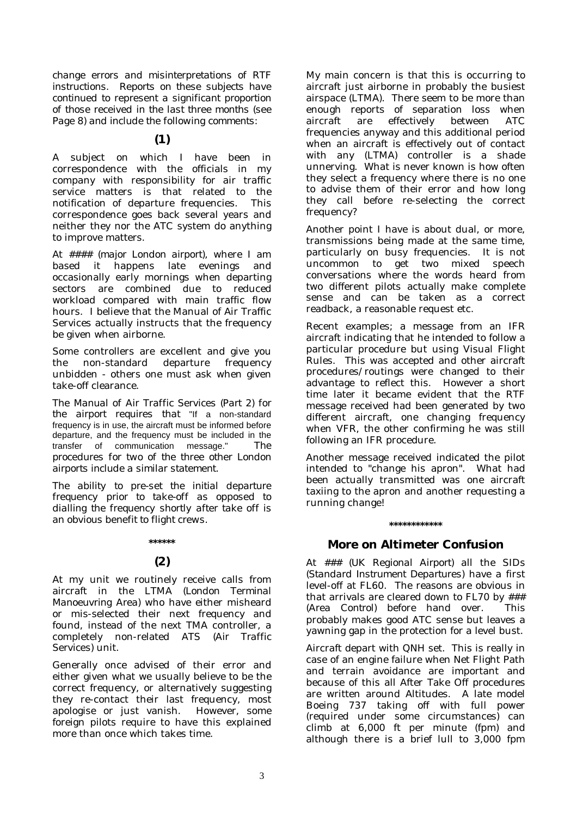*change errors and misinterpretations of RTF instructions. Reports on these subjects have continued to represent a significant proportion of those received in the last three months (see Page 8) and include the following comments:* 

**(1)** 

A subject on which I have been in correspondence with the officials in my company with responsibility for air traffic service matters is that related to the notification of departure frequencies. This correspondence goes back several years and neither they nor the ATC system do anything to improve matters.

At *#### (major London airport)*, where I am based it happens late evenings and occasionally early mornings when departing sectors are combined due to reduced workload compared with main traffic flow hours. I believe that the Manual of Air Traffic Services actually instructs that the frequency be given when airborne.

Some controllers are excellent and give you the non-standard departure frequency unbidden - others one must ask when given take-off clearance.

*The Manual of Air Traffic Services (Part 2) for the airport requires that* "If a non-standard frequency is in use, the aircraft must be informed before departure, and the frequency must be included in the transfer of communication message." *The procedures for two of the three other London airports include a similar statement.* 

*The ability to pre-set the initial departure frequency prior to take-off as opposed to dialling the frequency shortly after take off is an obvious benefit to flight crews.* 

#### **\*\*\*\*\*\***

## **(2)**

At my unit we routinely receive calls from aircraft in the LTMA *(London Terminal Manoeuvring Area)* who have either misheard or mis-selected their next frequency and found, instead of the next TMA controller, a completely non-related ATS *(Air Traffic Services)* unit.

Generally once advised of their error and either given what we usually believe to be the correct frequency, or alternatively suggesting they re-contact their last frequency, most apologise or just vanish. However, some foreign pilots require to have this explained more than once which takes time.

My main concern is that this is occurring to aircraft just airborne in probably the busiest airspace (LTMA). There seem to be more than enough reports of separation loss when aircraft are effectively between ATC frequencies anyway and this additional period when an aircraft is effectively out of contact with any (LTMA) controller is a shade unnerving. What is never known is how often they select a frequency where there is no one to advise them of their error and how long they call before re-selecting the correct frequency?

Another point I have is about dual, or more, transmissions being made at the same time, particularly on busy frequencies. It is not uncommon to get two mixed speech conversations where the words heard from two different pilots actually make complete sense and can be taken as a correct readback, a reasonable request etc.

Recent examples; a message from an IFR aircraft indicating that he intended to follow a particular procedure but using Visual Flight Rules. This was accepted and other aircraft procedures/routings were changed to their advantage to reflect this. However a short time later it became evident that the RTF message received had been generated by two different aircraft, one changing frequency when VFR, the other confirming he was still following an IFR procedure.

Another message received indicated the pilot intended to "change his apron". What had been actually transmitted was one aircraft taxiing to the apron and another requesting a running change!

#### **\*\*\*\*\*\*\*\*\*\*\*\***

## **More on Altimeter Confusion**

At ### *(UK Regional Airport)* all the SIDs *(Standard Instrument Departures)* have a first level-off at FL60. The reasons are obvious in that arrivals are cleared down to FL70 by ### *(Area Control)* before hand over. This probably makes good ATC sense but leaves a yawning gap in the protection for a level bust.

Aircraft depart with QNH set. This is really in case of an engine failure when Net Flight Path and terrain avoidance are important and because of this all After Take Off procedures are written around Altitudes. A late model Boeing 737 taking off with full power (required under some circumstances) can climb at 6,000 ft per minute (fpm) and although there is a brief lull to 3,000 fpm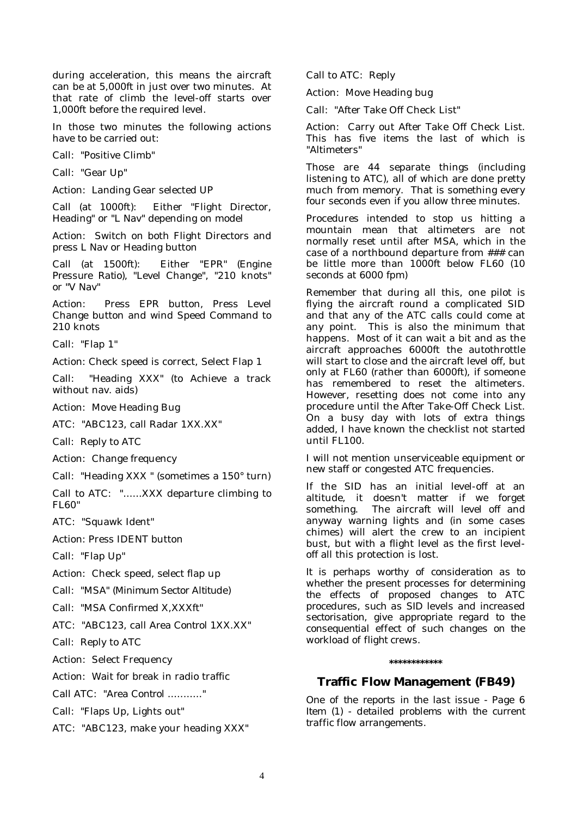during acceleration, this means the aircraft can be at 5,000ft in just over two minutes. At that rate of climb the level-off starts over 1,000ft before the required level.

In those two minutes the following actions have to be carried out:

Call: "Positive Climb"

Call: "Gear Up"

Action: Landing Gear selected UP

Call (at 1000ft): Either "Flight Director, Heading" or "L Nav" depending on model

Action: Switch on both Flight Directors and press L Nav or Heading button

Call (at 1500ft): Either "EPR" *(Engine Pressure Ratio)*, "Level Change", "210 knots" or "V Nav"

Action: Press EPR button, Press Level Change button and wind Speed Command to 210 knots

Call: "Flap 1"

Action: Check speed is correct, Select Flap 1

Call: "Heading XXX" (to Achieve a track without nav. aids)

Action: Move Heading Bug

ATC: "ABC123, call Radar 1XX.XX"

Call: Reply to ATC

Action: Change frequency

Call: "Heading XXX " (sometimes a 150° turn)

Call to ATC: "......XXX departure climbing to FL60"

ATC: "Squawk Ident"

Action: Press IDENT button

Call: "Flap Up"

Action: Check speed, select flap up

Call: "MSA" *(Minimum Sector Altitude)*

Call: "MSA Confirmed X,XXXft"

ATC: "ABC123, call *Area Control* 1XX.XX"

Call: Reply to ATC

Action: Select Frequency

Action: Wait for break in radio traffic

Call ATC: "Area Control ..........."

Call: "Flaps Up, Lights out"

ATC: "ABC123, make your heading XXX"

Call to ATC: Reply

Action: Move Heading bug

Call: "After Take Off Check List"

Action: Carry out After Take Off Check List. This has five items the last of which is "Altimeters"

Those are 44 separate things (including listening to ATC), all of which are done pretty much from memory. That is something every four seconds even if you allow three minutes.

Procedures intended to stop us hitting a mountain mean that altimeters are not normally reset until after MSA, which in the case of a northbound departure from ### can be little more than 1000ft below FL60 (10 seconds at 6000 fpm)

Remember that during all this, one pilot is flying the aircraft round a complicated SID and that any of the ATC calls could come at any point. This is also the minimum that happens. Most of it can wait a bit and as the aircraft approaches 6000ft the autothrottle will start to close and the aircraft level off, but only at FL60 (rather than 6000ft), if someone has remembered to reset the altimeters. However, resetting does not come into any procedure until the After Take-Off Check List. On a busy day with lots of extra things added, I have known the checklist not started until FL100.

I will not mention unserviceable equipment or new staff or congested ATC frequencies.

If the SID has an initial level-off at an altitude, it doesn't matter if we forget something. The aircraft will level off and anyway warning lights and (in some cases chimes) will alert the crew to an incipient bust, but with a flight level as the first leveloff all this protection is lost.

*It is perhaps worthy of consideration as to whether the present processes for determining the effects of proposed changes to ATC procedures, such as SID levels and increased sectorisation, give appropriate regard to the consequential effect of such changes on the workload of flight crews.* 

#### **\*\*\*\*\*\*\*\*\*\*\*\***

## **Traffic Flow Management (FB49)**

*One of the reports in the last issue - Page 6 Item (1) - detailed problems with the current traffic flow arrangements.*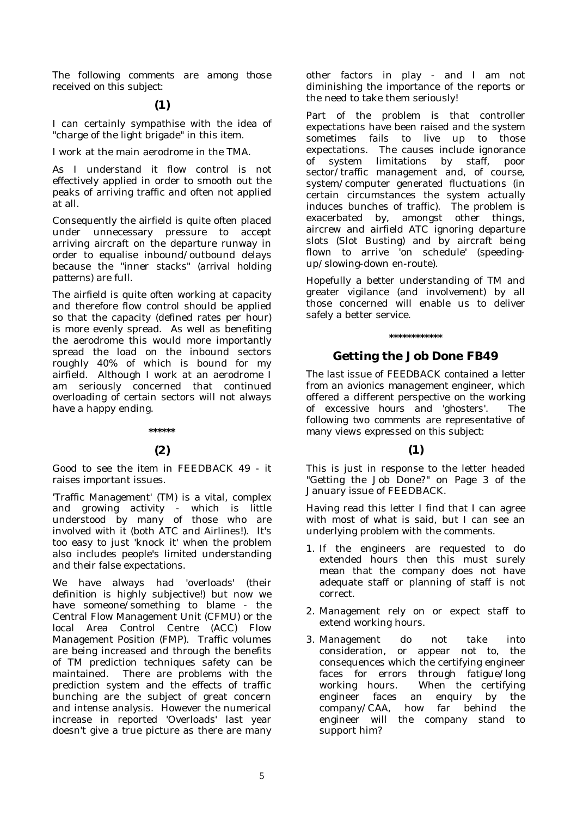*The following comments are among those received on this subject:* 

## **(1)**

I can certainly sympathise with the idea of "charge of the light brigade" in this item.

I work at the main aerodrome in the TMA.

As I understand it flow control is not effectively applied in order to smooth out the peaks of arriving traffic and often not applied at all.

Consequently the airfield is quite often placed under unnecessary pressure to accept arriving aircraft on the departure runway in order to equalise inbound/outbound delays because the "inner stacks" *(arrival holding patterns)* are full.

The airfield is quite often working at capacity and therefore flow control should be applied so that the capacity (defined rates per hour) is more evenly spread. As well as benefiting the aerodrome this would more importantly spread the load on the inbound sectors roughly 40% of which is bound for my airfield. Although I work at an aerodrome I am seriously concerned that continued overloading of certain sectors will not always have a happy ending.

#### **\*\*\*\*\*\***

## **(2)**

Good to see the item in FEEDBACK 49 - it raises important issues.

'Traffic Management' (TM) is a vital, complex and growing activity - which is little understood by many of those who are involved with it (both ATC and Airlines!). It's too easy to just 'knock it' when the problem also includes people's limited understanding and their false expectations.

We have always had 'overloads' (their definition is highly subjective!) but now we have someone/something to blame - the Central Flow Management Unit (CFMU) or the local Area Control Centre (ACC) Flow Management Position (FMP). Traffic volumes are being increased and through the benefits of TM prediction techniques safety can be maintained. There are problems with the prediction system and the effects of traffic bunching are the subject of great concern and intense analysis. However the numerical increase in reported 'Overloads' last year doesn't give a true picture as there are many other factors in play - and I am not diminishing the importance of the reports or the need to take them seriously!

Part of the problem is that controller expectations have been raised and the system sometimes fails to live up to those expectations. The causes include ignorance of system limitations by staff, poor sector/traffic management and, of course, system/computer generated fluctuations (in certain circumstances the system actually induces bunches of traffic). The problem is exacerbated by, amongst other things, aircrew and airfield ATC ignoring departure slots (Slot Busting) and by aircraft being flown to arrive 'on schedule' (speedingup/slowing-down en-route).

Hopefully a better understanding of TM and greater vigilance (and involvement) by all those concerned will enable us to deliver safely a better service.

#### **\*\*\*\*\*\*\*\*\*\*\*\***

## **Getting the Job Done FB49**

*The last issue of FEEDBACK contained a letter from an avionics management engineer, which offered a different perspective on the working of excessive hours and 'ghosters'. The following two comments are representative of many views expressed on this subject:* 

## **(1)**

This is just in response to the letter headed "Getting the Job Done?" on Page 3 of the January issue of FEEDBACK.

Having read this letter I find that I can agree with most of what is said, but I can see an underlying problem with the comments.

- 1. If the engineers are requested to do extended hours then this must surely mean that the company does not have adequate staff or planning of staff is not correct.
- 2. Management rely on or expect staff to extend working hours.
- 3. Management do not take into consideration, or appear not to, the consequences which the certifying engineer faces for errors through fatigue/long working hours. When the certifying engineer faces an enquiry by the company/CAA, how far behind the engineer will the company stand to support him?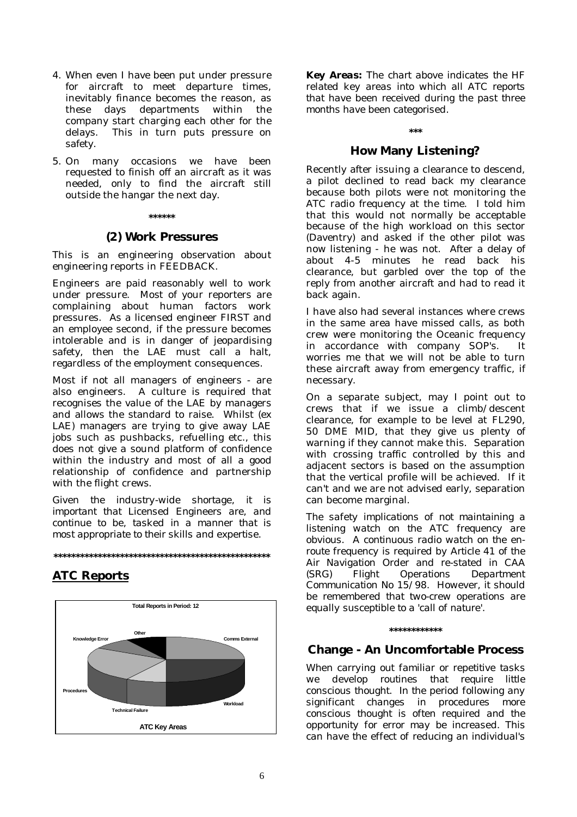- 4. When even I have been put under pressure for aircraft to meet departure times, inevitably finance becomes the reason, as these days departments within the company start charging each other for the delays. This in turn puts pressure on safety.
- 5. On many occasions we have been requested to finish off an aircraft as it was needed, only to find the aircraft still outside the hangar the next day.

#### **\*\*\*\*\*\***

#### **(2) Work Pressures**

This is an engineering observation about engineering reports in FEEDBACK.

Engineers are paid reasonably well to work under pressure. Most of your reporters are complaining about human factors work pressures. As a licensed engineer FIRST and an employee second, if the pressure becomes intolerable and is in danger of jeopardising safety, then the LAE must call a halt, regardless of the employment consequences.

Most if not all managers of engineers - are also engineers. A culture is required that recognises the value of the LAE by managers and allows the standard to raise. Whilst (ex LAE) managers are trying to give away LAE jobs such as pushbacks, refuelling etc., this does not give a sound platform of confidence within the industry and most of all a good relationship of confidence and partnership with the flight crews.

*Given the industry-wide shortage, it is important that Licensed Engineers are, and continue to be, tasked in a manner that is most appropriate to their skills and expertise.* 



## **ATC Reports**



*Key Areas: The chart above indicates the HF related key areas into which all ATC reports that have been received during the past three months have been categorised.* 

## **\*\*\***

## **How Many Listening?**

Recently after issuing a clearance to descend, a pilot declined to read back my clearance because both pilots were not monitoring the ATC radio frequency at the time. I told him that this would not normally be acceptable because of the high workload on this sector (Daventry) and asked if the other pilot was now listening - he was not. After a delay of about 4-5 minutes he read back his clearance, but garbled over the top of the reply from another aircraft and had to read it back again.

I have also had several instances where crews in the same area have missed calls, as both crew were monitoring the Oceanic frequency in accordance with company SOP's. It worries me that we will not be able to turn these aircraft away from emergency traffic, if necessary.

On a separate subject, may I point out to crews that if we issue a climb/descent clearance, for example to be level at FL290, 50 DME MID, that they give us plenty of warning if they cannot make this. Separation with crossing traffic controlled by this and adjacent sectors is based on the assumption that the vertical profile will be achieved. If it can't and we are not advised early, separation can become marginal.

*The safety implications of not maintaining a listening watch on the ATC frequency are obvious. A continuous radio watch on the enroute frequency is required by Article 41 of the Air Navigation Order and re-stated in CAA (SRG) Flight Operations Department Communication No 15/98. However, it should be remembered that two-crew operations are equally susceptible to a 'call of nature'.* 

#### **\*\*\*\*\*\*\*\*\*\*\*\***

#### **Change - An Uncomfortable Process**

*When carrying out familiar or repetitive tasks we develop routines that require little conscious thought. In the period following any significant changes in procedures more conscious thought is often required and the opportunity for error may be increased. This can have the effect of reducing an individual's*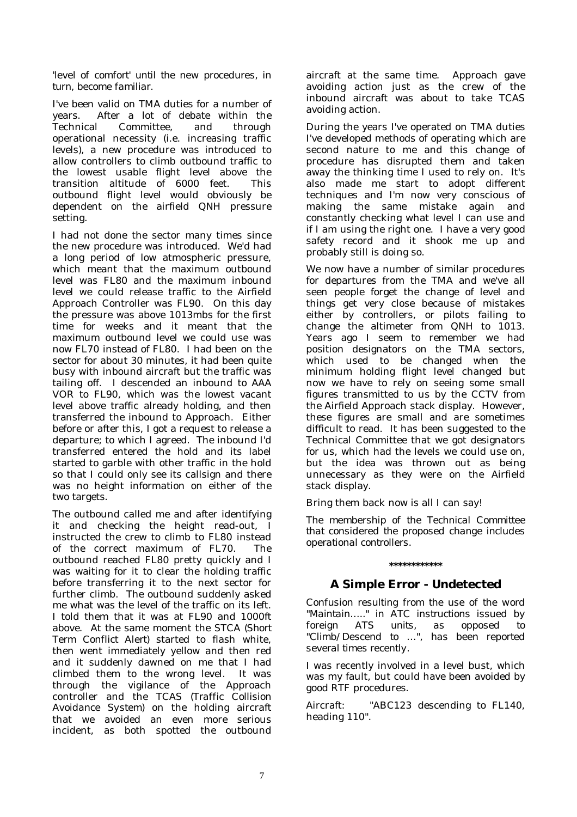## *'level of comfort' until the new procedures, in turn, become familiar.*

I've been valid on TMA duties for a number of<br>vears. After a lot of debate within the After a lot of debate within the Technical Committee, and through operational necessity (i.e. increasing traffic levels), a new procedure was introduced to allow controllers to climb outbound traffic to the lowest usable flight level above the transition altitude of 6000 feet. This outbound flight level would obviously be dependent on the airfield QNH pressure setting.

I had not done the sector many times since the new procedure was introduced. We'd had a long period of low atmospheric pressure, which meant that the maximum outbound level was FL80 and the maximum inbound level we could release traffic to the Airfield Approach Controller was FL90. On this day the pressure was above 1013mbs for the first time for weeks and it meant that the maximum outbound level we could use was now FL70 instead of FL80. I had been on the sector for about 30 minutes, it had been quite busy with inbound aircraft but the traffic was tailing off. I descended an inbound to AAA VOR to FL90, which was the lowest vacant level above traffic already holding, and then transferred the inbound to Approach. Either before or after this, I got a request to release a departure; to which I agreed. The inbound I'd transferred entered the hold and its label started to garble with other traffic in the hold so that I could only see its callsign and there was no height information on either of the two targets.

The outbound called me and after identifying it and checking the height read-out, I instructed the crew to climb to FL80 instead of the correct maximum of FL70. The outbound reached FL80 pretty quickly and I was waiting for it to clear the holding traffic before transferring it to the next sector for further climb. The outbound suddenly asked me what was the level of the traffic on its left. I told them that it was at FL90 and 1000ft above. At the same moment the STCA *(Short Term Conflict Alert)* started to flash white, then went immediately yellow and then red and it suddenly dawned on me that I had climbed them to the wrong level. It was through the vigilance of the Approach controller and the TCAS *(Traffic Collision Avoidance System)* on the holding aircraft that we avoided an even more serious incident, as both spotted the outbound

aircraft at the same time. Approach gave avoiding action just as the crew of the inbound aircraft was about to take TCAS avoiding action.

During the years I've operated on TMA duties I've developed methods of operating which are second nature to me and this change of procedure has disrupted them and taken away the thinking time I used to rely on. It's also made me start to adopt different techniques and I'm now very conscious of making the same mistake again and constantly checking what level I can use and if I am using the right one. I have a very good safety record and it shook me up and probably still is doing so.

We now have a number of similar procedures for departures from the TMA and we've all seen people forget the change of level and things get very close because of mistakes either by controllers, or pilots failing to change the altimeter from QNH to 1013. Years ago I seem to remember we had position designators on the TMA sectors, which used to be changed when the minimum holding flight level changed but now we have to rely on seeing some small figures transmitted to us by the CCTV from the Airfield Approach stack display. However, these figures are small and are sometimes difficult to read. It has been suggested to the Technical Committee that we got designators for us, which had the levels we could use on, but the idea was thrown out as being unnecessary as they were on the Airfield stack display.

Bring them back now is all I can say!

*The membership of the Technical Committee that considered the proposed change includes operational controllers.* 

## **A Simple Error - Undetected**

**\*\*\*\*\*\*\*\*\*\*\*\*** 

*Confusion resulting from the use of the word "Maintain….." in ATC instructions issued by foreign ATS units, as opposed to "Climb/Descend to …", has been reported several times recently.* 

I was recently involved in a level bust, which was my fault, but could have been avoided by good RTF procedures.

Aircraft: "*ABC123* descending to FL140, heading 110".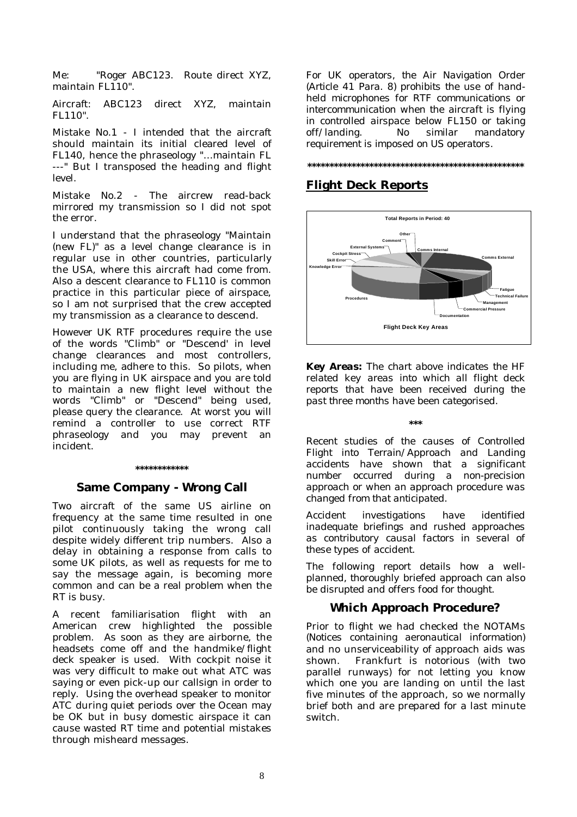Me: "Roger *ABC123.* Route direct XYZ, maintain FL110".

Aircraft: *ABC123* direct XYZ, maintain FL110".

Mistake No.1 - I intended that the aircraft should maintain its initial cleared level of FL140, hence the phraseology "…maintain FL ---" But I transposed the heading and flight level.

Mistake No.2 - The aircrew read-back mirrored my transmission so I did not spot the error.

I understand that the phraseology "Maintain (new FL)" as a level change clearance is in regular use in other countries, particularly the USA, where this aircraft had come from. Also a descent clearance to FL110 is common practice in this particular piece of airspace, so I am not surprised that the crew accepted my transmission as a clearance to descend.

However UK RTF procedures require the use of the words "Climb" or "Descend' in level change clearances and most controllers, including me, adhere to this. So pilots, when you are flying in UK airspace and you are told to maintain a new flight level without the words "Climb" or "Descend" being used, please query the clearance. At worst you will remind a controller to use correct RTF phraseology and you may prevent an incident.

#### **\*\*\*\*\*\*\*\*\*\*\*\***

## **Same Company - Wrong Call**

Two aircraft of the same US airline on frequency at the same time resulted in one pilot continuously taking the wrong call despite widely different trip numbers. Also a delay in obtaining a response from calls to some UK pilots, as well as requests for me to say the message again, is becoming more common and can be a real problem when the RT is busy.

A recent familiarisation flight with an American crew highlighted the possible problem. As soon as they are airborne, the headsets come off and the handmike/flight deck speaker is used. With cockpit noise it was very difficult to make out what ATC was saying or even pick-up our callsign in order to reply. Using the overhead speaker to monitor ATC during quiet periods over the Ocean may be OK but in busy domestic airspace it can cause wasted RT time and potential mistakes through misheard messages.

*For UK operators, the Air Navigation Order (Article 41 Para. 8) prohibits the use of handheld microphones for RTF communications or intercommunication when the aircraft is flying in controlled airspace below FL150 or taking off/landing. No similar mandatory requirement is imposed on US operators.* 

#### **\*\*\*\*\*\*\*\*\*\*\*\*\*\*\*\*\*\*\*\*\*\*\*\*\*\*\*\*\*\*\*\*\*\*\*\*\*\*\*\*\*\*\*\*\*\*\*\*\***

## **Flight Deck Reports**



*Key Areas: The chart above indicates the HF related key areas into which all flight deck reports that have been received during the past three months have been categorised.* 

#### **\*\*\***

*Recent studies of the causes of Controlled Flight into Terrain/Approach and Landing accidents have shown that a significant number occurred during a non-precision approach or when an approach procedure was changed from that anticipated.* 

*Accident investigations have identified inadequate briefings and rushed approaches as contributory causal factors in several of these types of accident.* 

*The following report details how a wellplanned, thoroughly briefed approach can also be disrupted and offers food for thought.* 

## **Which Approach Procedure?**

Prior to flight we had checked the NOTAMs *(Notices containing aeronautical information)* and no unserviceability of approach aids was shown. Frankfurt is notorious (with two parallel runways) for not letting you know which one you are landing on until the last five minutes of the approach, so we normally brief both and are prepared for a last minute switch.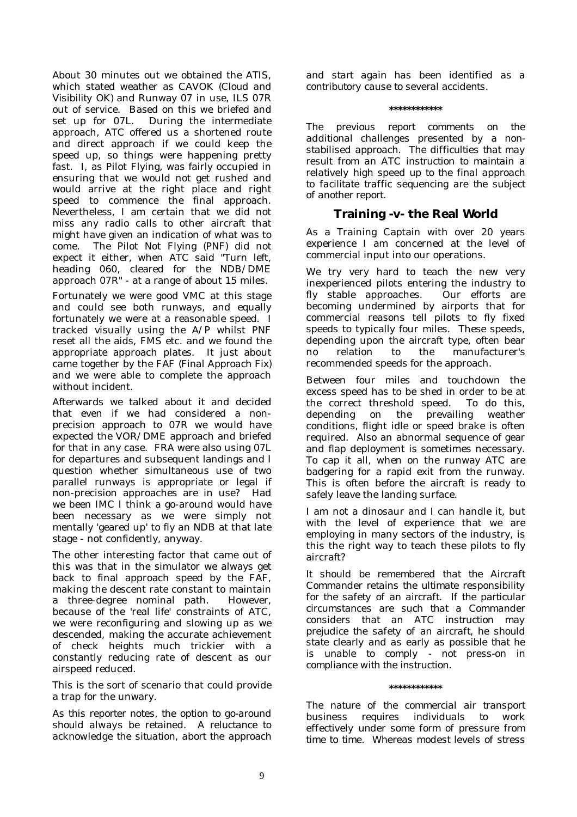About 30 minutes out we obtained the ATIS, which stated weather as CAVOK *(Cloud and Visibility OK)* and Runway 07 in use, ILS 07R out of service. Based on this we briefed and set up for 07L. During the intermediate approach, ATC offered us a shortened route and direct approach if we could keep the speed up, so things were happening pretty fast. I, as Pilot Flying, was fairly occupied in ensuring that we would not get rushed and would arrive at the right place and right speed to commence the final approach. Nevertheless, I am certain that we did not miss any radio calls to other aircraft that might have given an indication of what was to come. The Pilot Not Flying (PNF) did not expect it either, when ATC said "Turn left, heading 060, cleared for the NDB/DME approach 07R" - at a range of about 15 miles.

Fortunately we were good VMC at this stage and could see both runways, and equally fortunately we were at a reasonable speed. I tracked visually using the A/P whilst PNF reset all the aids, FMS etc. and we found the appropriate approach plates. It just about came together by the FAF *(Final Approach Fix)* and we were able to complete the approach without incident.

Afterwards we talked about it and decided that even if we had considered a nonprecision approach to 07R we would have expected the VOR/DME approach and briefed for that in any case. FRA were also using 07L for departures and subsequent landings and I question whether simultaneous use of two parallel runways is appropriate or legal if non-precision approaches are in use? Had we been IMC I think a go-around would have been necessary as we were simply not mentally 'geared up' to fly an NDB at that late stage - not confidently, anyway.

The other interesting factor that came out of this was that in the simulator we always get back to final approach speed by the FAF, making the descent rate constant to maintain a three-degree nominal path. However, because of the 'real life' constraints of ATC, we were reconfiguring and slowing up as we descended, making the accurate achievement of check heights much trickier with a constantly reducing rate of descent as our airspeed reduced.

This is the sort of scenario that could provide a trap for the unwary.

*As this reporter notes, the option to go-around should always be retained. A reluctance to acknowledge the situation, abort the approach* 

*and start again has been identified as a contributory cause to several accidents.* 

**\*\*\*\*\*\*\*\*\*\*\*\*** 

*The previous report comments on the additional challenges presented by a nonstabilised approach. The difficulties that may result from an ATC instruction to maintain a relatively high speed up to the final approach to facilitate traffic sequencing are the subject of another report.* 

## **Training -v- the Real World**

As a Training Captain with over 20 years experience I am concerned at the level of commercial input into our operations.

We try very hard to teach the new very inexperienced pilots entering the industry to fly stable approaches. Our efforts are becoming undermined by airports that for commercial reasons tell pilots to fly fixed speeds to typically four miles. These speeds, depending upon the aircraft type, often bear no relation to the manufacturer's recommended speeds for the approach.

Between four miles and touchdown the excess speed has to be shed in order to be at the correct threshold speed. To do this, depending on the prevailing weather conditions, flight idle or speed brake is often required. Also an abnormal sequence of gear and flap deployment is sometimes necessary. To cap it all, when on the runway ATC are badgering for a rapid exit from the runway. This is often before the aircraft is ready to safely leave the landing surface.

I am not a dinosaur and I can handle it, but with the level of experience that we are employing in many sectors of the industry, is this the right way to teach these pilots to fly aircraft?

*It should be remembered that the Aircraft Commander retains the ultimate responsibility for the safety of an aircraft. If the particular circumstances are such that a Commander considers that an ATC instruction may prejudice the safety of an aircraft, he should state clearly and as early as possible that he is unable to comply - not press-on in compliance with the instruction.* 

#### **\*\*\*\*\*\*\*\*\*\*\*\***

*The nature of the commercial air transport business requires individuals to work effectively under some form of pressure from time to time. Whereas modest levels of stress*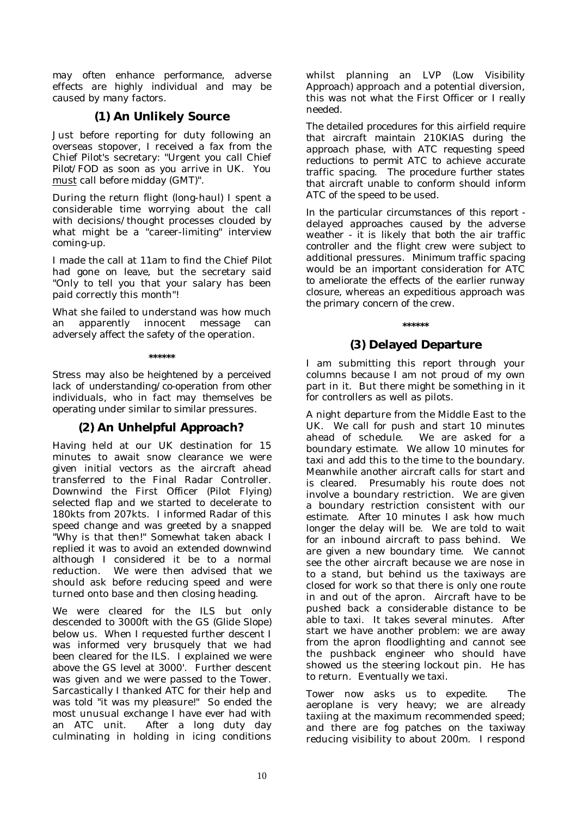*may often enhance performance, adverse effects are highly individual and may be caused by many factors.* 

## **(1) An Unlikely Source**

Just before reporting for duty following an overseas stopover, I received a fax from the Chief Pilot's secretary: "Urgent you call *Chief Pilot/FOD* as soon as you arrive in UK. You must call before midday (GMT)".

During the return flight (long-haul) I spent a considerable time worrying about the call with decisions/thought processes clouded by what might be a "career-limiting" interview coming-up.

I made the call at 11am to find the *Chief Pilot* had gone on leave, but the secretary said "Only to tell you that your salary has been paid correctly this month"!

What she failed to understand was how much an apparently innocent message can adversely affect the safety of the operation.

**\*\*\*\*\*\*** 

*Stress may also be heightened by a perceived lack of understanding/co-operation from other individuals, who in fact may themselves be operating under similar to similar pressures.* 

## **(2) An Unhelpful Approach?**

Having held at our UK destination for 15 minutes to await snow clearance we were given initial vectors as the aircraft ahead transferred to the Final Radar Controller. Downwind the First Officer (Pilot Flying) selected flap and we started to decelerate to 180kts from 207kts. I informed Radar of this speed change and was greeted by a snapped "Why is that then!" Somewhat taken aback I replied it was to avoid an extended downwind although I considered it be to a normal reduction. We were then advised that we should ask before reducing speed and were turned onto base and then closing heading.

We were cleared for the ILS but only descended to 3000ft with the GS *(Glide Slope)*  below us. When I requested further descent I was informed very brusquely that we had been cleared for the ILS. I explained we were above the GS level at 3000'. Further descent was given and we were passed to the Tower. Sarcastically I thanked ATC for their help and was told "it was my pleasure!" So ended the most unusual exchange I have ever had with an ATC unit. After a long duty day culminating in holding in icing conditions

whilst planning an LVP *(Low Visibility Approach)* approach and a potential diversion, this was not what the First Officer or I really needed.

*The detailed procedures for this airfield require that aircraft maintain 210KIAS during the approach phase, with ATC requesting speed reductions to permit ATC to achieve accurate traffic spacing. The procedure further states that aircraft unable to conform should inform ATC of the speed to be used.* 

*In the particular circumstances of this report delayed approaches caused by the adverse weather - it is likely that both the air traffic controller and the flight crew were subject to additional pressures. Minimum traffic spacing would be an important consideration for ATC to ameliorate the effects of the earlier runway closure, whereas an expeditious approach was the primary concern of the crew.* 

## **\*\*\*\*\*\* (3) Delayed Departure**

I am submitting this report through your columns because I am not proud of my own part in it. But there might be something in it for controllers as well as pilots.

A night departure from the Middle East to the UK. We call for push and start 10 minutes ahead of schedule. We are asked for a boundary estimate. We allow 10 minutes for taxi and add this to the time to the boundary. Meanwhile another aircraft calls for start and is cleared. Presumably his route does not involve a boundary restriction. We are given a boundary restriction consistent with our estimate. After 10 minutes I ask how much longer the delay will be. We are told to wait for an inbound aircraft to pass behind. We are given a new boundary time. We cannot see the other aircraft because we are nose in to a stand, but behind us the taxiways are closed for work so that there is only one route in and out of the apron. Aircraft have to be pushed back a considerable distance to be able to taxi. It takes several minutes. After start we have another problem: we are away from the apron floodlighting and cannot see the pushback engineer who should have showed us the steering lockout pin. He has to return. Eventually we taxi.

Tower now asks us to expedite. The aeroplane is very heavy; we are already taxiing at the maximum recommended speed; and there are fog patches on the taxiway reducing visibility to about 200m. I respond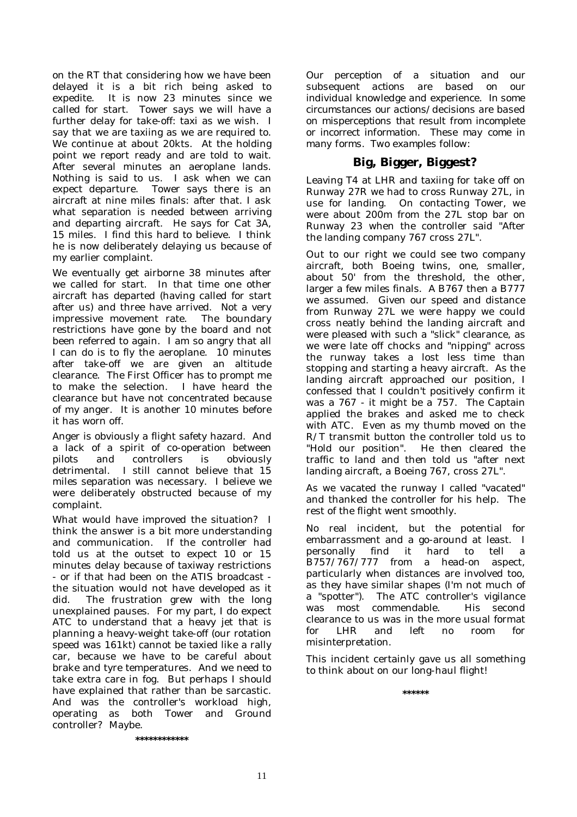on the RT that considering how we have been delayed it is a bit rich being asked to expedite. It is now 23 minutes since we called for start. Tower says we will have a further delay for take-off: taxi as we wish. I say that we are taxiing as we are required to. We continue at about 20kts. At the holding point we report ready and are told to wait. After several minutes an aeroplane lands. Nothing is said to us. I ask when we can expect departure. Tower says there is an aircraft at nine miles finals: after that. I ask what separation is needed between arriving and departing aircraft. He says for Cat 3A, 15 miles. I find this hard to believe. I think he is now deliberately delaying us because of my earlier complaint.

We eventually get airborne 38 minutes after we called for start. In that time one other aircraft has departed (having called for start after us) and three have arrived. Not a very impressive movement rate. The boundary restrictions have gone by the board and not been referred to again. I am so angry that all I can do is to fly the aeroplane. 10 minutes after take-off we are given an altitude clearance. The First Officer has to prompt me to make the selection. I have heard the clearance but have not concentrated because of my anger. It is another 10 minutes before it has worn off.

Anger is obviously a flight safety hazard. And a lack of a spirit of co-operation between pilots and controllers is obviously detrimental. I still cannot believe that 15 miles separation was necessary. I believe we were deliberately obstructed because of my complaint.

What would have improved the situation? I think the answer is a bit more understanding and communication. If the controller had told us at the outset to expect 10 or 15 minutes delay because of taxiway restrictions - or if that had been on the ATIS broadcast the situation would not have developed as it did. The frustration grew with the long unexplained pauses. For my part, I do expect ATC to understand that a heavy jet that is planning a heavy-weight take-off (our rotation speed was 161kt) cannot be taxied like a rally car, because we have to be careful about brake and tyre temperatures. And we need to take extra care in fog. But perhaps I should have explained that rather than be sarcastic. And was the controller's workload high, operating as both Tower and Ground controller? Maybe.

*Our perception of a situation and our subsequent actions are based on our individual knowledge and experience. In some circumstances our actions/decisions are based on misperceptions that result from incomplete or incorrect information. These may come in many forms. Two examples follow:* 

## **Big, Bigger, Biggest?**

Leaving T4 at LHR and taxiing for take off on Runway 27R we had to cross Runway 27L, in use for landing. On contacting Tower, we were about 200m from the 27L stop bar on Runway 23 when the controller said "After the landing company 767 cross 27L".

Out to our right we could see two company aircraft, both Boeing twins, one, smaller, about 50' from the threshold, the other, larger a few miles finals. A B767 then a B777 we assumed. Given our speed and distance from Runway 27L we were happy we could cross neatly behind the landing aircraft and were pleased with such a "slick" clearance, as we were late off chocks and "nipping" across the runway takes a lost less time than stopping and starting a heavy aircraft. As the landing aircraft approached our position, I confessed that I couldn't positively confirm it was a 767 - it might be a 757. The Captain applied the brakes and asked me to check with ATC. Even as my thumb moved on the R/T transmit button the controller told us to "Hold our position". He then cleared the traffic to land and then told us "after next landing aircraft, a Boeing 767, cross 27L".

As we vacated the runway I called "vacated" and thanked the controller for his help. The rest of the flight went smoothly.

No real incident, but the potential for embarrassment and a go-around at least. I personally find it hard to tell a B757/767/777 from a head-on aspect, particularly when distances are involved too, as they have similar shapes (I'm not much of a "spotter"). The ATC controller's vigilance was most commendable. His second clearance to us was in the more usual format for LHR and left no room for misinterpretation.

This incident certainly gave us all something to think about on our long-haul flight!

**\*\*\*\*\*\*** 

**\*\*\*\*\*\*\*\*\*\*\*\***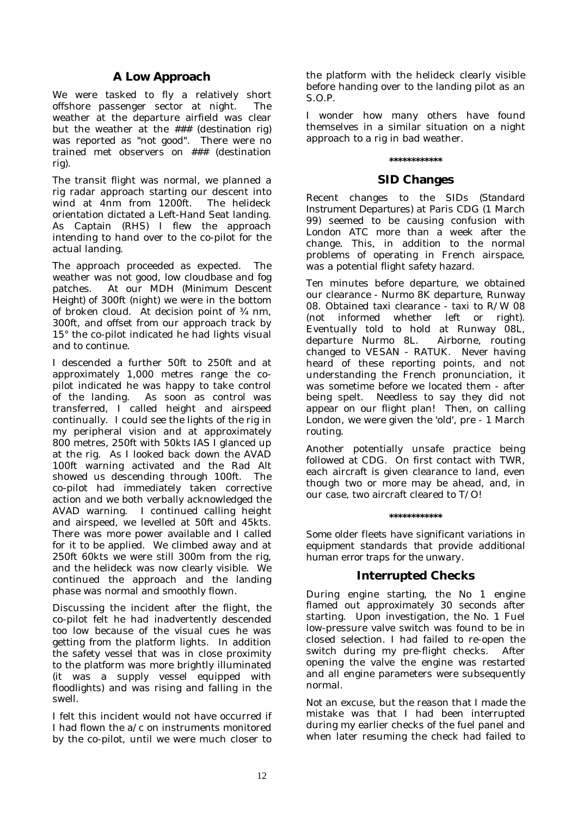## **A Low Approach**

We were tasked to fly a relatively short offshore passenger sector at night. The weather at the departure airfield was clear but the weather at the ### (*destination rig*) was reported as "not good". There were no trained met observers on ### (destination rig).

The transit flight was normal, we planned a rig radar approach starting our descent into wind at 4nm from 1200ft. The helideck orientation dictated a Left-Hand Seat landing. As Captain (RHS) I flew the approach intending to hand over to the co-pilot for the actual landing.

The approach proceeded as expected. The weather was not good, low cloudbase and fog patches. At our MDH *(Minimum Descent Height)* of 300ft (night) we were in the bottom of broken cloud. At decision point of ¾ nm, 300ft, and offset from our approach track by 15° the co-pilot indicated he had lights visual and to continue.

I descended a further 50ft to 250ft and at approximately 1,000 metres range the copilot indicated he was happy to take control of the landing. As soon as control was transferred, I called height and airspeed continually. I could see the lights of the rig in my peripheral vision and at approximately 800 metres, 250ft with 50kts IAS I glanced up at the rig. As I looked back down the AVAD 100ft warning activated and the Rad Alt showed us descending through 100ft. The co-pilot had immediately taken corrective action and we both verbally acknowledged the AVAD warning. I continued calling height and airspeed, we levelled at 50ft and 45kts. There was more power available and I called for it to be applied. We climbed away and at 250ft 60kts we were still 300m from the rig, and the helideck was now clearly visible. We continued the approach and the landing phase was normal and smoothly flown.

Discussing the incident after the flight, the co-pilot felt he had inadvertently descended too low because of the visual cues he was getting from the platform lights. In addition the safety vessel that was in close proximity to the platform was more brightly illuminated (it was a supply vessel equipped with floodlights) and was rising and falling in the swell.

I felt this incident would not have occurred if I had flown the a/c on instruments monitored by the co-pilot, until we were much closer to the platform with the helideck clearly visible before handing over to the landing pilot as an S.O.P.

I wonder how many others have found themselves in a similar situation on a night approach to a rig in bad weather.

# **\*\*\*\*\*\*\*\*\*\*\*\***

## **SID Changes**

Recent changes to the SIDs *(Standard Instrument Departures)* at Paris CDG (1 March 99) seemed to be causing confusion with London ATC more than a week after the change. This, in addition to the normal problems of operating in French airspace, was a potential flight safety hazard.

Ten minutes before departure, we obtained our clearance - Nurmo 8K departure, Runway 08. Obtained taxi clearance - taxi to R/W 08 (not informed whether left or right). Eventually told to hold at Runway 08L, departure Nurmo 8L. Airborne, routing changed to VESAN - RATUK. Never having heard of these reporting points, and not understanding the French pronunciation, it was sometime before we located them - after being spelt. Needless to say they did not appear on our flight plan! Then, on calling London, we were given the 'old', pre - 1 March routing.

Another potentially unsafe practice being followed at CDG. On first contact with TWR, each aircraft is given clearance to land, even though two or more may be ahead, and, in our case, two aircraft cleared to T/O!

#### **\*\*\*\*\*\*\*\*\*\*\*\***

*Some older fleets have significant variations in equipment standards that provide additional human error traps for the unwary.* 

## **Interrupted Checks**

During engine starting, the No 1 engine flamed out approximately 30 seconds after starting. Upon investigation, the No. 1 Fuel low-pressure valve switch was found to be in closed selection. I had failed to re-open the switch during my pre-flight checks. After opening the valve the engine was restarted and all engine parameters were subsequently normal.

Not an excuse, but the reason that I made the mistake was that I had been interrupted during my earlier checks of the fuel panel and when later resuming the check had failed to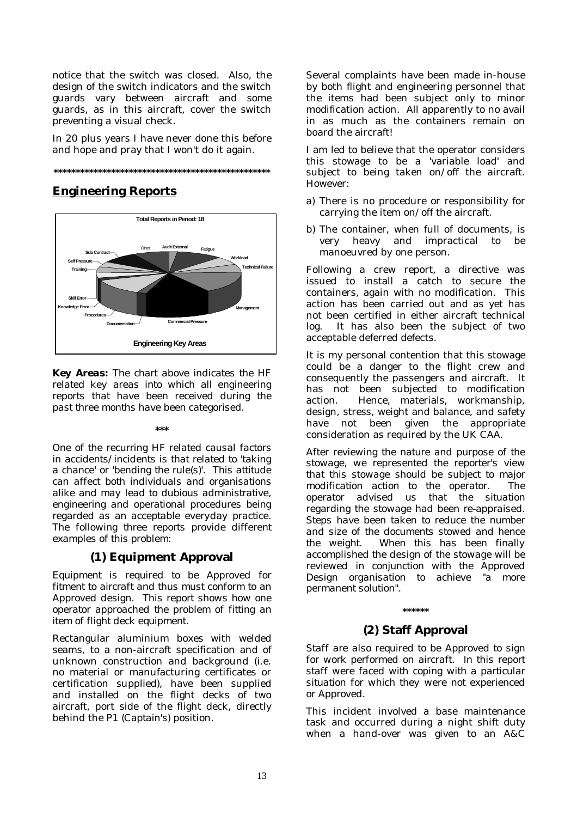notice that the switch was closed. Also, the design of the switch indicators and the switch guards vary between aircraft and some guards, as in this aircraft, cover the switch preventing a visual check.

In 20 plus years I have never done this before and hope and pray that I won't do it again.



## **Engineering Reports**



*Key Areas: The chart above indicates the HF related key areas into which all engineering reports that have been received during the past three months have been categorised.* 

## **\*\*\***

*One of the recurring HF related causal factors in accidents/incidents is that related to 'taking a chance' or 'bending the rule(s)'. This attitude can affect both individuals and organisations alike and may lead to dubious administrative, engineering and operational procedures being regarded as an acceptable everyday practice. The following three reports provide different examples of this problem:* 

## **(1) Equipment Approval**

*Equipment is required to be Approved for fitment to aircraft and thus must conform to an Approved design. This report shows how one operator approached the problem of fitting an item of flight deck equipment.* 

Rectangular aluminium boxes with welded seams, to a non-aircraft specification and of unknown construction and background (i.e. no material or manufacturing certificates or certification supplied), have been supplied and installed on the flight decks of two aircraft, port side of the flight deck, directly behind the P1 *(Captain's)* position.

Several complaints have been made in-house by both flight and engineering personnel that the items had been subject only to minor modification action. All apparently to no avail in as much as the containers remain on board the aircraft!

I am led to believe that the operator considers this stowage to be a 'variable load' and subject to being taken on/off the aircraft. However:

- a) There is no procedure or responsibility for carrying the item on/off the aircraft.
- b) The container, when full of documents, is very heavy and impractical to be manoeuvred by one person.

Following a crew report, a directive was issued to install a catch to secure the containers, again with no modification. This action has been carried out and as yet has not been certified in either aircraft technical log. It has also been the subject of two acceptable deferred defects.

It is my personal contention that this stowage could be a danger to the flight crew and consequently the passengers and aircraft. It has not been subjected to modification action. Hence, materials, workmanship, design, stress, weight and balance, and safety have not been given the appropriate consideration as required by the UK CAA.

*After reviewing the nature and purpose of the stowage, we represented the reporter's view that this stowage should be subject to major modification action to the operator. The operator advised us that the situation regarding the stowage had been re-appraised. Steps have been taken to reduce the number and size of the documents stowed and hence the weight. When this has been finally accomplished the design of the stowage will be reviewed in conjunction with the Approved Design organisation to achieve "a more permanent solution".* 

## **\*\*\*\*\*\***

## **(2) Staff Approval**

*Staff are also required to be Approved to sign for work performed on aircraft. In this report staff were faced with coping with a particular situation for which they were not experienced or Approved.* 

This incident involved a base maintenance task and occurred during a night shift duty when a hand-over was given to an A&C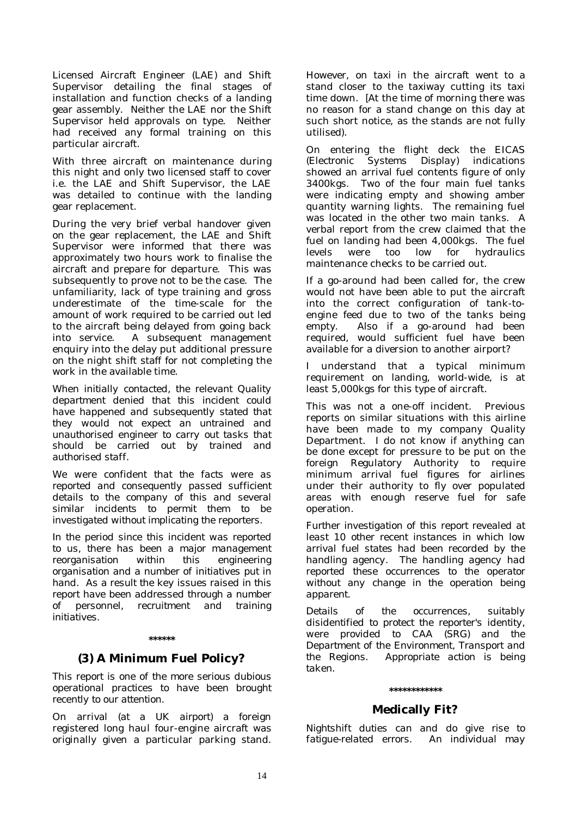Licensed Aircraft Engineer (LAE) and Shift Supervisor detailing the final stages of installation and function checks of a landing gear assembly. Neither the LAE nor the Shift Supervisor held approvals on type. Neither had received any formal training on this particular aircraft.

With three aircraft on maintenance during this night and only two licensed staff to cover i.e. the LAE and Shift Supervisor, the LAE was detailed to continue with the landing gear replacement.

During the very brief verbal handover given on the gear replacement, the LAE and Shift Supervisor were informed that there was approximately two hours work to finalise the aircraft and prepare for departure. This was subsequently to prove not to be the case. The unfamiliarity, lack of type training and gross underestimate of the time-scale for the amount of work required to be carried out led to the aircraft being delayed from going back into service. A subsequent management enquiry into the delay put additional pressure on the night shift staff for not completing the work in the available time.

*When initially contacted, the relevant Quality department denied that this incident could have happened and subsequently stated that they would not expect an untrained and unauthorised engineer to carry out tasks that should be carried out by trained and authorised staff.* 

*We were confident that the facts were as reported and consequently passed sufficient details to the company of this and several similar incidents to permit them to be investigated without implicating the reporters.* 

*In the period since this incident was reported to us, there has been a major management reorganisation within this engineering organisation and a number of initiatives put in hand. As a result the key issues raised in this report have been addressed through a number of personnel, recruitment and training initiatives.* 

#### **\*\*\*\*\*\***

## **(3) A Minimum Fuel Policy?**

*This report is one of the more serious dubious operational practices to have been brought recently to our attention.* 

On arrival *(at a UK airport)* a foreign registered long haul four-engine aircraft was originally given a particular parking stand. However, on taxi in the aircraft went to a stand closer to the taxiway cutting its taxi time down. [At the time of morning there was no reason for a stand change on this day at such short notice, as the stands are not fully utilised).

On entering the flight deck the EICAS *(Electronic Systems Display)* indications showed an arrival fuel contents figure of only 3400kgs. Two of the four main fuel tanks were indicating empty and showing amber quantity warning lights. The remaining fuel was located in the other two main tanks. A verbal report from the crew claimed that the fuel on landing had been 4,000kgs. The fuel levels were too low for hydraulics maintenance checks to be carried out.

If a go-around had been called for, the crew would not have been able to put the aircraft into the correct configuration of tank-toengine feed due to two of the tanks being empty. Also if a go-around had been required, would sufficient fuel have been available for a diversion to another airport?

I understand that a typical minimum requirement on landing, world-wide, is at least 5,000kgs for this type of aircraft.

This was not a one-off incident. Previous reports on similar situations with this airline have been made to my company Quality Department. I do not know if anything can be done except for pressure to be put on the foreign Regulatory Authority to require minimum arrival fuel figures for airlines under their authority to fly over populated areas with enough reserve fuel for safe operation.

*Further investigation of this report revealed at least 10 other recent instances in which low arrival fuel states had been recorded by the handling agency. The handling agency had reported these occurrences to the operator without any change in the operation being apparent.* 

*Details of the occurrences, suitably disidentified to protect the reporter's identity, were provided to CAA (SRG) and the Department of the Environment, Transport and the Regions. Appropriate action is being taken.* 

## **\*\*\*\*\*\*\*\*\*\*\*\***

## **Medically Fit?**

*Nightshift duties can and do give rise to fatigue-related errors. An individual may*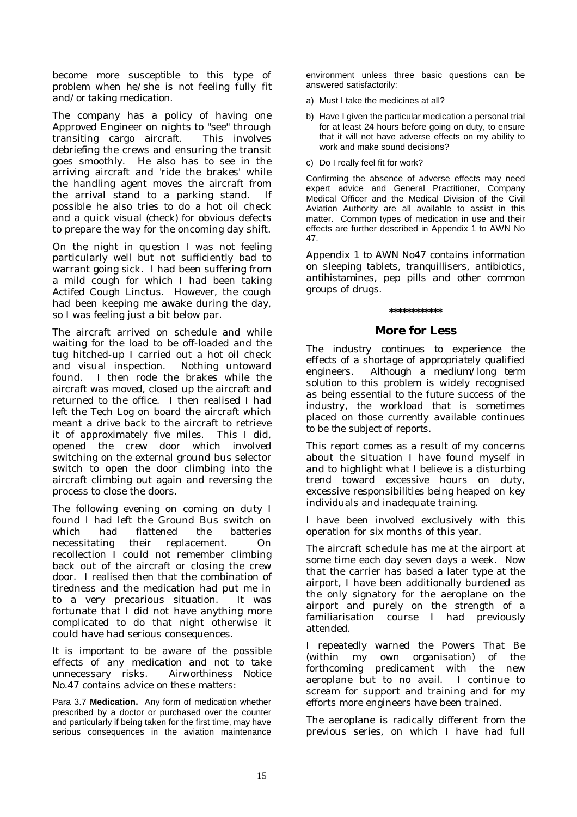*become more susceptible to this type of problem when he/she is not feeling fully fit and/or taking medication.* 

The company has a policy of having one Approved Engineer on nights to "see" through transiting cargo aircraft. This involves debriefing the crews and ensuring the transit goes smoothly. He also has to see in the arriving aircraft and 'ride the brakes' while the handling agent moves the aircraft from the arrival stand to a parking stand. If possible he also tries to do a hot oil check and a quick visual *(check)* for obvious defects to prepare the way for the oncoming day shift.

On the night in question I was not feeling particularly well but not sufficiently bad to warrant going sick. I had been suffering from a mild cough for which I had been taking Actifed Cough Linctus. However, the cough had been keeping me awake during the day, so I was feeling just a bit below par.

The aircraft arrived on schedule and while waiting for the load to be off-loaded and the tug hitched-up I carried out a hot oil check and visual inspection. Nothing untoward found. I then rode the brakes while the aircraft was moved, closed up the aircraft and returned to the office. I then realised I had left the Tech Log on board the aircraft which meant a drive back to the aircraft to retrieve it of approximately five miles. This I did, opened the crew door which involved switching on the external ground bus selector switch to open the door climbing into the aircraft climbing out again and reversing the process to close the doors.

The following evening on coming on duty I found I had left the Ground Bus switch on which had flattened the batteries necessitating their replacement. On recollection I could not remember climbing back out of the aircraft or closing the crew door. I realised then that the combination of tiredness and the medication had put me in to a very precarious situation. It was fortunate that I did not have anything more complicated to do that night otherwise it could have had serious consequences.

*It is important to be aware of the possible effects of any medication and not to take unnecessary risks. Airworthiness Notice No.47 contains advice on these matters:* 

Para 3.7 **Medication.** Any form of medication whether prescribed by a doctor or purchased over the counter and particularly if being taken for the first time, may have serious consequences in the aviation maintenance environment unless three basic questions can be answered satisfactorily:

- a) Must I take the medicines at all?
- b) Have I given the particular medication a personal trial for at least 24 hours before going on duty, to ensure that it will not have adverse effects on my ability to work and make sound decisions?
- c) Do I really feel fit for work?

Confirming the absence of adverse effects may need expert advice and General Practitioner, Company Medical Officer and the Medical Division of the Civil Aviation Authority are all available to assist in this matter. Common types of medication in use and their effects are further described in Appendix 1 to AWN No 47.

*Appendix 1 to AWN No47 contains information on sleeping tablets, tranquillisers, antibiotics, antihistamines, pep pills and other common groups of drugs.* 

## **\*\*\*\*\*\*\*\*\*\*\*\***

## **More for Less**

*The industry continues to experience the effects of a shortage of appropriately qualified engineers. Although a medium/long term solution to this problem is widely recognised as being essential to the future success of the industry, the workload that is sometimes placed on those currently available continues to be the subject of reports.* 

This report comes as a result of my concerns about the situation I have found myself in and to highlight what I believe is a disturbing trend toward excessive hours on duty, excessive responsibilities being heaped on key individuals and inadequate training.

I have been involved exclusively with this operation for six months of this year.

The aircraft schedule has me at the airport at some time each day seven days a week. Now that the carrier has based a later type at the airport, I have been additionally burdened as the only signatory for the aeroplane on the airport and purely on the strength of a familiarisation course I had previously attended.

I repeatedly warned the Powers That Be (within my own organisation) of the forthcoming predicament with the new aeroplane but to no avail. I continue to scream for support and training and for my efforts more engineers have been trained.

The aeroplane is radically different from the previous series, on which I have had full